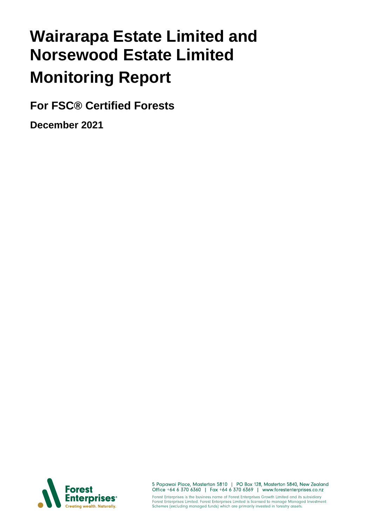# **Wairarapa Estate Limited and Norsewood Estate Limited Monitoring Report**

**For FSC® Certified Forests**

**December 2021**



5 Papawai Place, Masterton 5810 | PO Box 128, Masterton 5840, New Zealand<br>Office +64 6 370 6360 | Fax +64 6 370 6369 | www.forestenterprises.co.nz Forest Enterprises is the business name of Forest Enterprises Growth Limited and its subsidiary<br>Forest Enterprises Limited. Forest Enterprises Limited is licensed to manage Managed Investment<br>Schemes (excluding managed fun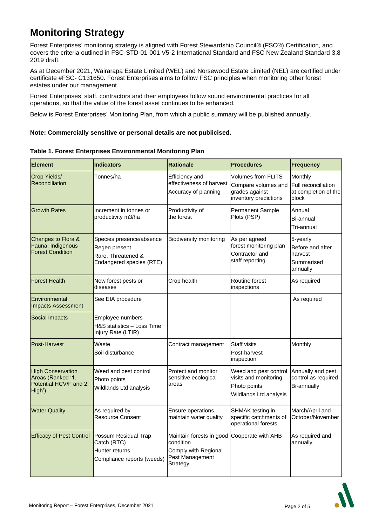## **Monitoring Strategy**

Forest Enterprises' monitoring strategy is aligned with Forest Stewardship Council® (FSC®) Certification, and covers the criteria outlined in FSC-STD-01-001 V5-2 International Standard and FSC New Zealand Standard 3.8 2019 draft.

As at December 2021, Wairarapa Estate Limited (WEL) and Norsewood Estate Limited (NEL) are certified under certificate #FSC- C131650. Forest Enterprises aims to follow FSC principles when monitoring other forest estates under our management.

Forest Enterprises' staff, contractors and their employees follow sound environmental practices for all operations, so that the value of the forest asset continues to be enhanced.

Below is Forest Enterprises' Monitoring Plan, from which a public summary will be published annually.

#### **Note: Commercially sensitive or personal details are not publicised.**

| <b>Element</b>                                                                    | <b>Indicators</b>                                                                           | Rationale                                                                                                       | Procedures                                                                               | Frequency                                                         |
|-----------------------------------------------------------------------------------|---------------------------------------------------------------------------------------------|-----------------------------------------------------------------------------------------------------------------|------------------------------------------------------------------------------------------|-------------------------------------------------------------------|
| Crop Yields/<br>Reconciliation                                                    | Tonnes/ha                                                                                   | <b>Efficiency and</b><br>effectiveness of harvest<br>Accuracy of planning                                       | Volumes from FLITS<br>Compare volumes and<br>grades against<br>inventory predictions     | Monthly<br>Full reconciliation<br>at completion of the<br>block   |
| <b>Growth Rates</b>                                                               | Increment in tonnes or<br>productivity m3/ha                                                | Productivity of<br>the forest                                                                                   | Permanent Sample<br>Plots (PSP)                                                          | Annual<br>Bi-annual<br>Tri-annual                                 |
| Changes to Flora &<br>Fauna, Indigenous<br><b>Forest Condition</b>                | Species presence/absence<br>Regen present<br>Rare, Threatened &<br>Endangered species (RTE) | <b>Biodiversity monitoring</b>                                                                                  | As per agreed<br>forest monitoring plan<br>Contractor and<br>staff reporting             | 5-yearly<br>Before and after<br>harvest<br>Summarised<br>annually |
| <b>Forest Health</b>                                                              | New forest pests or<br>diseases                                                             | Crop health                                                                                                     | Routine forest<br>inspections                                                            | As required                                                       |
| Environmental<br><b>Impacts Assessment</b>                                        | See EIA procedure                                                                           |                                                                                                                 |                                                                                          | As required                                                       |
| Social Impacts                                                                    | Employee numbers<br>H&S statistics - Loss Time<br>Injury Rate (LTIR)                        |                                                                                                                 |                                                                                          |                                                                   |
| Post-Harvest                                                                      | Waste<br>Soil disturbance                                                                   | Contract management                                                                                             | Staff visits<br>Post-harvest<br>inspection                                               | Monthly                                                           |
| <b>High Conservation</b><br>Areas (Ranked '1.<br>Potential HCV/F and 2.<br>High') | Weed and pest control<br>Photo points<br>Wildlands Ltd analysis                             | Protect and monitor<br>sensitive ecological<br>areas                                                            | Weed and pest control<br>visits and monitoring<br>Photo points<br>Wildlands Ltd analysis | Annually and pest<br>control as required<br>Bi-annually           |
| <b>Water Quality</b>                                                              | As required by<br><b>Resource Consent</b>                                                   | Ensure operations<br>maintain water quality                                                                     | SHMAK testing in<br>specific catchments of<br>operational forests                        | March/April and<br>October/November                               |
| <b>Efficacy of Pest Control</b>                                                   | Possum Residual Trap<br>Catch (RTC)<br>Hunter returns<br>Compliance reports (weeds)         | Maintain forests in good Cooperate with AHB<br>condition<br>Comply with Regional<br>Pest Management<br>Strategy |                                                                                          | As required and<br>annually                                       |

**Table 1. Forest Enterprises Environmental Monitoring Plan**

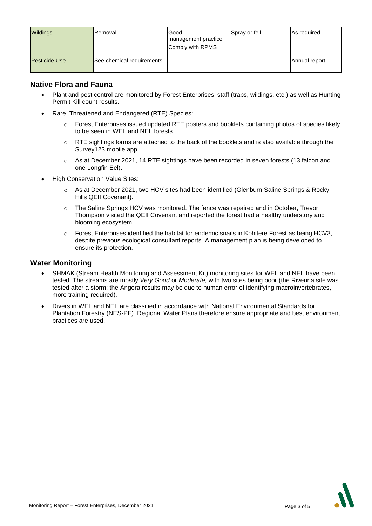| <b>Wildings</b>      | <b>IRemoval</b>           | Good<br>management practice<br>Comply with RPMS | Spray or fell | As required   |
|----------------------|---------------------------|-------------------------------------------------|---------------|---------------|
| <b>Pesticide Use</b> | See chemical requirements |                                                 |               | Annual report |

#### **Native Flora and Fauna**

- Plant and pest control are monitored by Forest Enterprises' staff (traps, wildings, etc.) as well as Hunting Permit Kill count results.
- Rare, Threatened and Endangered (RTE) Species:
	- Forest Enterprises issued updated RTE posters and booklets containing photos of species likely to be seen in WEL and NEL forests.
	- $\circ$  RTE sightings forms are attached to the back of the booklets and is also available through the Survey123 mobile app.
	- o As at December 2021, 14 RTE sightings have been recorded in seven forests (13 falcon and one Longfin Eel).
- High Conservation Value Sites:
	- o As at December 2021, two HCV sites had been identified (Glenburn Saline Springs & Rocky Hills QEII Covenant).
	- o The Saline Springs HCV was monitored. The fence was repaired and in October, Trevor Thompson visited the QEII Covenant and reported the forest had a healthy understory and blooming ecosystem.
	- $\circ$  Forest Enterprises identified the habitat for endemic snails in Kohitere Forest as being HCV3, despite previous ecological consultant reports. A management plan is being developed to ensure its protection.

#### **Water Monitoring**

- SHMAK (Stream Health Monitoring and Assessment Kit) monitoring sites for WEL and NEL have been tested. The streams are mostly *Very Good* or *Moderate,* with two sites being poor (the Riverina site was tested after a storm; the Angora results may be due to human error of identifying macroinvertebrates, more training required).
- Rivers in WEL and NEL are classified in accordance with National Environmental Standards for Plantation Forestry (NES-PF). Regional Water Plans therefore ensure appropriate and best environment practices are used.

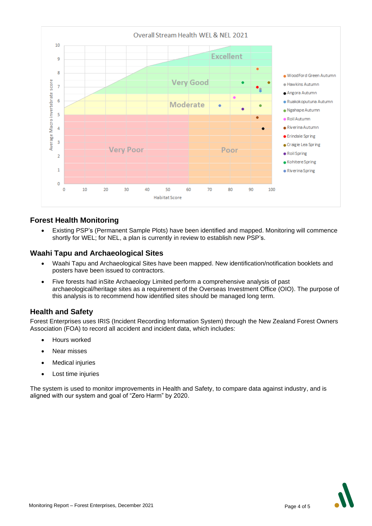

#### **Forest Health Monitoring**

• Existing PSP's (Permanent Sample Plots) have been identified and mapped. Monitoring will commence shortly for WEL; for NEL, a plan is currently in review to establish new PSP's.

#### **Waahi Tapu and Archaeological Sites**

- Waahi Tapu and Archaeological Sites have been mapped. New identification/notification booklets and posters have been issued to contractors.
- Five forests had inSite Archaeology Limited perform a comprehensive analysis of past archaeological/heritage sites as a requirement of the Overseas Investment Office (OIO). The purpose of this analysis is to recommend how identified sites should be managed long term.

### **Health and Safety**

Forest Enterprises uses IRIS (Incident Recording Information System) through the New Zealand Forest Owners Association (FOA) to record all accident and incident data, which includes:

- Hours worked
- Near misses
- **Medical injuries**
- Lost time injuries

The system is used to monitor improvements in Health and Safety, to compare data against industry, and is aligned with our system and goal of "Zero Harm" by 2020.